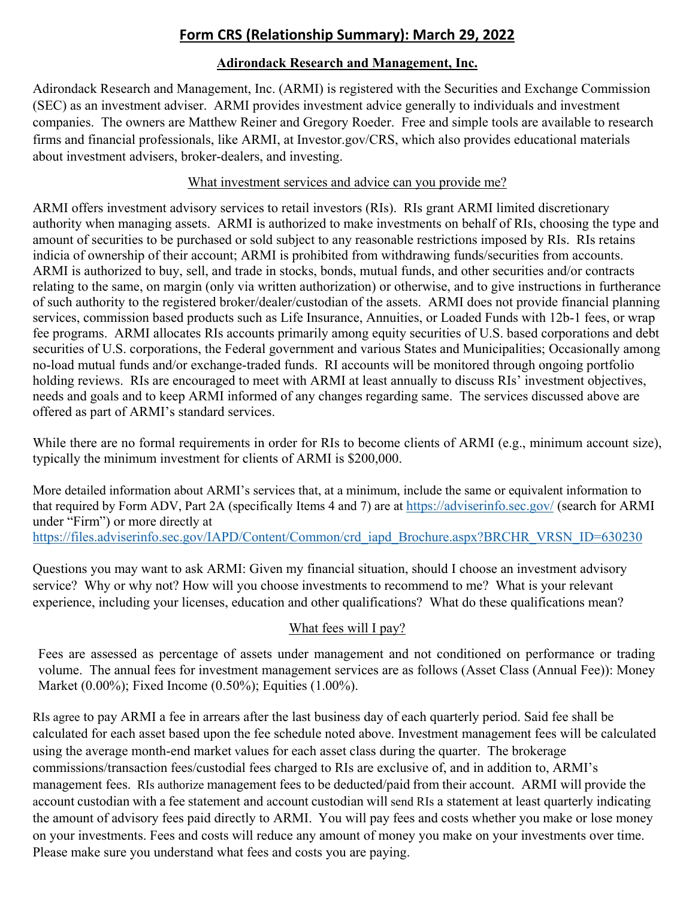# **Form CRS (Relationship Summary): March 29, 2022**

# **Adirondack Research and Management, Inc.**

Adirondack Research and Management, Inc. (ARMI) is registered with the Securities and Exchange Commission (SEC) as an investment adviser. ARMI provides investment advice generally to individuals and investment companies. The owners are Matthew Reiner and Gregory Roeder. Free and simple tools are available to research firms and financial professionals, like ARMI, at Investor.gov/CRS, which also provides educational materials about investment advisers, broker-dealers, and investing.

#### What investment services and advice can you provide me?

ARMI offers investment advisory services to retail investors (RIs). RIs grant ARMI limited discretionary authority when managing assets. ARMI is authorized to make investments on behalf of RIs, choosing the type and amount of securities to be purchased or sold subject to any reasonable restrictions imposed by RIs. RIs retains indicia of ownership of their account; ARMI is prohibited from withdrawing funds/securities from accounts. ARMI is authorized to buy, sell, and trade in stocks, bonds, mutual funds, and other securities and/or contracts relating to the same, on margin (only via written authorization) or otherwise, and to give instructions in furtherance of such authority to the registered broker/dealer/custodian of the assets. ARMI does not provide financial planning services, commission based products such as Life Insurance, Annuities, or Loaded Funds with 12b-1 fees, or wrap fee programs. ARMI allocates RIs accounts primarily among equity securities of U.S. based corporations and debt securities of U.S. corporations, the Federal government and various States and Municipalities; Occasionally among no-load mutual funds and/or exchange-traded funds. RI accounts will be monitored through ongoing portfolio holding reviews. RIs are encouraged to meet with ARMI at least annually to discuss RIs' investment objectives, needs and goals and to keep ARMI informed of any changes regarding same. The services discussed above are offered as part of ARMI's standard services.

While there are no formal requirements in order for RIs to become clients of ARMI (e.g., minimum account size), typically the minimum investment for clients of ARMI is \$200,000.

More detailed information about ARMI's services that, at a minimum, include the same or equivalent information to that required by Form ADV, Part 2A (specifically Items 4 and 7) are at <https://adviserinfo.sec.gov/> (search for ARMI under "Firm") or more directly at [https://files.adviserinfo.sec.gov/IAPD/Content/Common/crd\\_iapd\\_Brochure.aspx?BRCHR\\_VRSN\\_ID=630230](https://files.adviserinfo.sec.gov/IAPD/Content/Common/crd_iapd_Brochure.aspx?BRCHR_VRSN_ID=630230)

Questions you may want to ask ARMI: Given my financial situation, should I choose an investment advisory service? Why or why not? How will you choose investments to recommend to me? What is your relevant experience, including your licenses, education and other qualifications? What do these qualifications mean?

# What fees will I pay?

Fees are assessed as percentage of assets under management and not conditioned on performance or trading volume. The annual fees for investment management services are as follows (Asset Class (Annual Fee)): Money Market (0.00%); Fixed Income (0.50%); Equities (1.00%).

RIs agree to pay ARMI a fee in arrears after the last business day of each quarterly period. Said fee shall be calculated for each asset based upon the fee schedule noted above. Investment management fees will be calculated using the average month-end market values for each asset class during the quarter. The brokerage commissions/transaction fees/custodial fees charged to RIs are exclusive of, and in addition to, ARMI's management fees. RIs authorize management fees to be deducted/paid from their account. ARMI will provide the account custodian with a fee statement and account custodian will send RIs a statement at least quarterly indicating the amount of advisory fees paid directly to ARMI. You will pay fees and costs whether you make or lose money on your investments. Fees and costs will reduce any amount of money you make on your investments over time. Please make sure you understand what fees and costs you are paying.